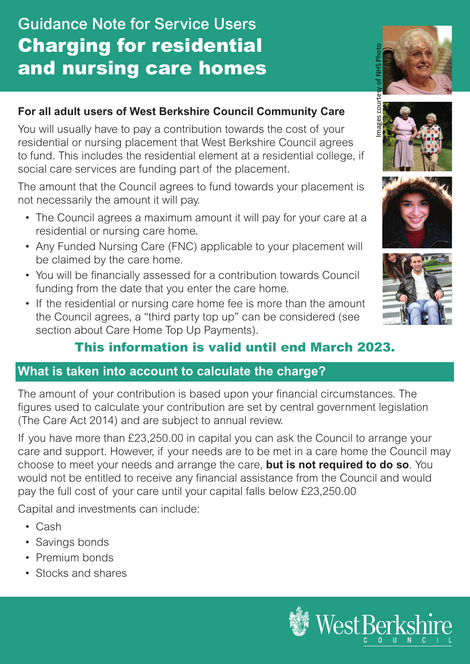# Guidance Note for Service Users Charging for residential and nursing care homes



Library

## **For all adult users of West Berkshire Council Community Care**

You will usually have to pay a contribution towards the cost of your residential or nursing placement that West Berkshire Council agrees to fund. This includes the residential element at a residential college, if social care services are funding part of the placement.

The amount that the Council agrees to fund towards your placement is not necessarily the amount it will pay.

- The Council agrees a maximum amount it will pay for your care at a residential or nursing care home.
- Any Funded Nursing Care (FNC) applicable to your placement will be claimed by the care home.
- You will be financially assessed for a contribution towards Council funding from the date that you enter the care home.
- If the residential or nursing care home fee is more than the amount the Council agrees, a "third party top up" can be considered (see section about Care Home Top Up Payments).



## This information is valid until end March 2023.

#### **What is taken into account to calculate the charge?**

The amount of your contribution is based upon your financial circumstances. The figures used to calculate your contribution are set by central government legislation (The Care Act 2014) and are subject to annual review.

If you have more than £23,250.00 in capital you can ask the Council to arrange your care and support. However, if your needs are to be met in a care home the Council may choose to meet your needs and arrange the care, **but is not required to do so**. You would not be entitled to receive any financial assistance from the Council and would pay the full cost of your care until your capital falls below £23,250.00

Capital and investments can include:

- Cash
- Savings bonds
- Premium bonds
- Stocks and shares

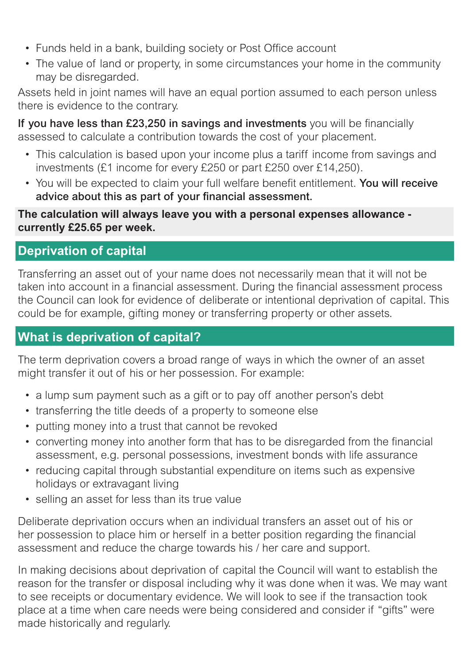- Funds held in a bank, building society or Post Office account
- The value of land or property, in some circumstances your home in the community may be disregarded.

Assets held in joint names will have an equal portion assumed to each person unless there is evidence to the contrary.

If you have less than £23,250 in savings and investments you will be financially assessed to calculate a contribution towards the cost of your placement.

- This calculation is based upon your income plus a tariff income from savings and investments (£1 income for every £250 or part £250 over £14,250).
- You will be expected to claim your full welfare benefit entitlement. You will receive advice about this as part of your financial assessment.

**The calculation will always leave you with a personal expenses allowance currently £25.65 per week.**

## **Deprivation of capital**

Transferring an asset out of your name does not necessarily mean that it will not be taken into account in a financial assessment. During the financial assessment process the Council can look for evidence of deliberate or intentional deprivation of capital. This could be for example, gifting money or transferring property or other assets.

## **What is deprivation of capital?**

The term deprivation covers a broad range of ways in which the owner of an asset might transfer it out of his or her possession. For example:

- a lump sum payment such as a gift or to pay off another person's debt
- transferring the title deeds of a property to someone else
- putting money into a trust that cannot be revoked
- converting money into another form that has to be disregarded from the financial assessment, e.g. personal possessions, investment bonds with life assurance
- reducing capital through substantial expenditure on items such as expensive holidays or extravagant living
- selling an asset for less than its true value

Deliberate deprivation occurs when an individual transfers an asset out of his or her possession to place him or herself in a better position regarding the financial assessment and reduce the charge towards his / her care and support.

In making decisions about deprivation of capital the Council will want to establish the reason for the transfer or disposal including why it was done when it was. We may want to see receipts or documentary evidence. We will look to see if the transaction took place at a time when care needs were being considered and consider if "gifts" were made historically and regularly.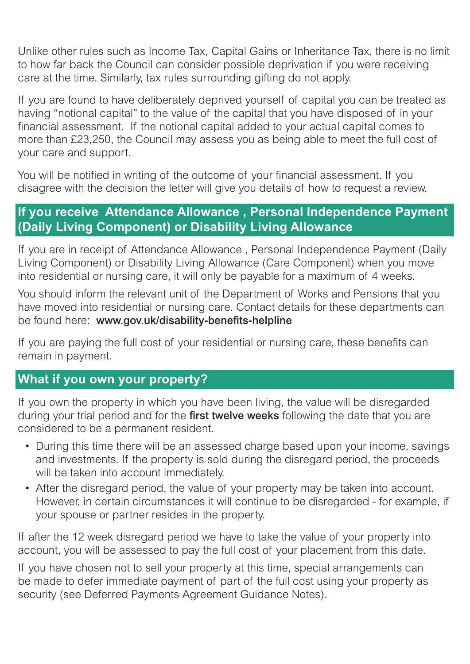Unlike other rules such as Income Tax, Capital Gains or Inheritance Tax, there is no limit to how far back the Council can consider possible deprivation if you were receiving care at the time. Similarly, tax rules surrounding gifting do not apply.

If you are found to have deliberately deprived yourself of capital you can be treated as having "notional capital" to the value of the capital that you have disposed of in your financial assessment. If the notional capital added to your actual capital comes to more than £23,250, the Council may assess you as being able to meet the full cost of your care and support.

You will be notified in writing of the outcome of your financial assessment. If you disagree with the decision the letter will give you details of how to request a review.

#### **If you receive Attendance Allowance , Personal Independence Payment (Daily Living Component) or Disability Living Allowance**

If you are in receipt of Attendance Allowance , Personal Independence Payment (Daily Living Component) or Disability Living Allowance (Care Component) when you move into residential or nursing care, it will only be payable for a maximum of 4 weeks.

You should inform the relevant unit of the Department of Works and Pensions that you have moved into residential or nursing care. Contact details for these departments can be found here: www.gov.uk/disability-benefits-helpline

If you are paying the full cost of your residential or nursing care, these benefits can remain in payment.

## **What if you own your property?**

If you own the property in which you have been living, the value will be disregarded during your trial period and for the first twelve weeks following the date that you are considered to be a permanent resident.

- During this time there will be an assessed charge based upon your income, savings and investments. If the property is sold during the disregard period, the proceeds will be taken into account immediately.
- After the disregard period, the value of your property may be taken into account. However, in certain circumstances it will continue to be disregarded - for example, if your spouse or partner resides in the property.

If after the 12 week disregard period we have to take the value of your property into account, you will be assessed to pay the full cost of your placement from this date.

If you have chosen not to sell your property at this time, special arrangements can be made to defer immediate payment of part of the full cost using your property as security (see Deferred Payments Agreement Guidance Notes).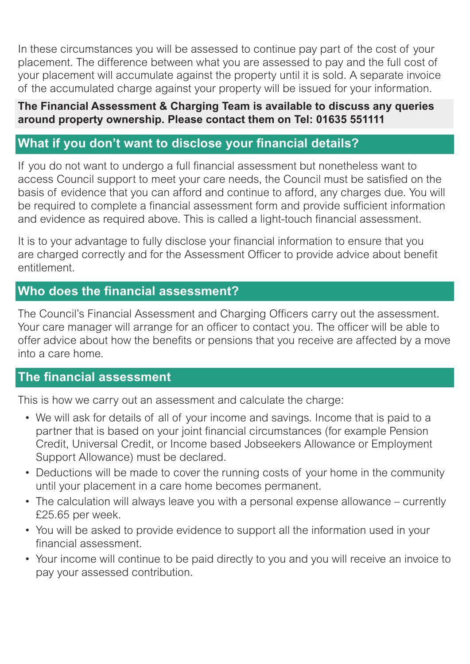In these circumstances you will be assessed to continue pay part of the cost of your placement. The difference between what you are assessed to pay and the full cost of your placement will accumulate against the property until it is sold. A separate invoice of the accumulated charge against your property will be issued for your information.

#### **The Financial Assessment & Charging Team is available to discuss any queries around property ownership. Please contact them on Tel: 01635 551111**

## **What if you don't want to disclose your financial details?**

If you do not want to undergo a full financial assessment but nonetheless want to access Council support to meet your care needs, the Council must be satisfied on the basis of evidence that you can afford and continue to afford, any charges due. You will be required to complete a financial assessment form and provide sufficient information and evidence as required above. This is called a light-touch financial assessment.

It is to your advantage to fully disclose your financial information to ensure that you are charged correctly and for the Assessment Officer to provide advice about benefit entitlement.

#### **Who does the financial assessment?**

The Council's Financial Assessment and Charging Officers carry out the assessment. Your care manager will arrange for an officer to contact you. The officer will be able to offer advice about how the benefits or pensions that you receive are affected by a move into a care home.

#### **The financial assessment**

This is how we carry out an assessment and calculate the charge:

- We will ask for details of all of your income and savings. Income that is paid to a partner that is based on your joint financial circumstances (for example Pension Credit, Universal Credit, or Income based Jobseekers Allowance or Employment Support Allowance) must be declared.
- Deductions will be made to cover the running costs of your home in the community until your placement in a care home becomes permanent.
- The calculation will always leave you with a personal expense allowance currently £25.65 per week.
- You will be asked to provide evidence to support all the information used in your financial assessment.
- Your income will continue to be paid directly to you and you will receive an invoice to pay your assessed contribution.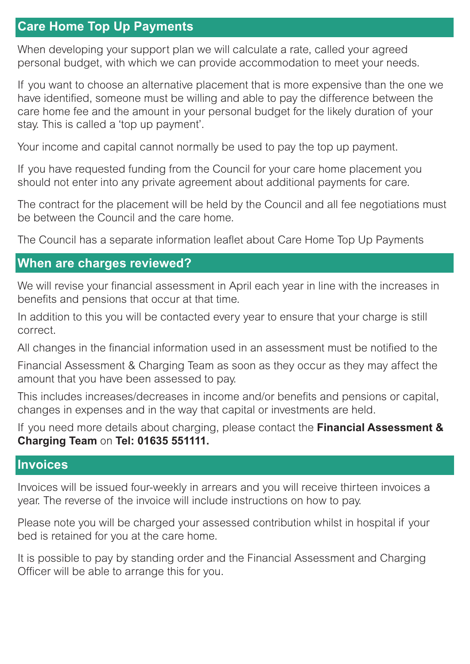## **Care Home Top Up Payments**

When developing your support plan we will calculate a rate, called your agreed personal budget, with which we can provide accommodation to meet your needs.

If you want to choose an alternative placement that is more expensive than the one we have identified, someone must be willing and able to pay the difference between the care home fee and the amount in your personal budget for the likely duration of your stay. This is called a 'top up payment'.

Your income and capital cannot normally be used to pay the top up payment.

If you have requested funding from the Council for your care home placement you should not enter into any private agreement about additional payments for care.

The contract for the placement will be held by the Council and all fee negotiations must be between the Council and the care home.

The Council has a separate information leaflet about Care Home Top Up Payments

#### **When are charges reviewed?**

We will revise your financial assessment in April each year in line with the increases in benefits and pensions that occur at that time.

In addition to this you will be contacted every year to ensure that your charge is still correct.

All changes in the financial information used in an assessment must be notified to the

Financial Assessment & Charging Team as soon as they occur as they may affect the amount that you have been assessed to pay.

This includes increases/decreases in income and/or benefits and pensions or capital, changes in expenses and in the way that capital or investments are held.

If you need more details about charging, please contact the **Financial Assessment & Charging Team** on **Tel: 01635 551111.**

#### **Invoices**

Invoices will be issued four-weekly in arrears and you will receive thirteen invoices a year. The reverse of the invoice will include instructions on how to pay.

Please note you will be charged your assessed contribution whilst in hospital if your bed is retained for you at the care home.

It is possible to pay by standing order and the Financial Assessment and Charging Officer will be able to arrange this for you.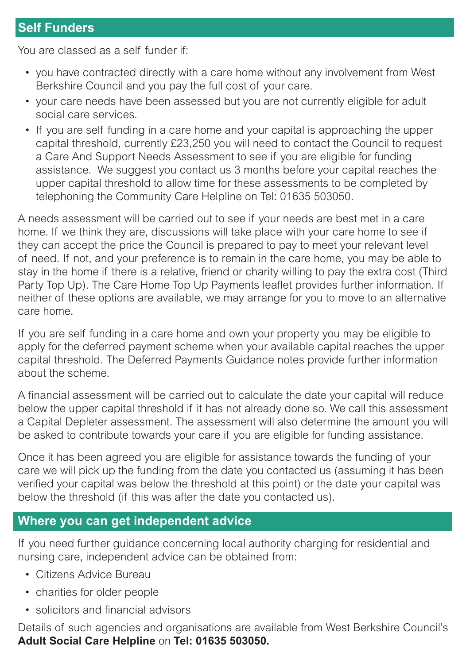## **Self Funders**

You are classed as a self funder if:

- you have contracted directly with a care home without any involvement from West Berkshire Council and you pay the full cost of your care.
- your care needs have been assessed but you are not currently eligible for adult social care services.
- If you are self funding in a care home and your capital is approaching the upper capital threshold, currently £23,250 you will need to contact the Council to request a Care And Support Needs Assessment to see if you are eligible for funding assistance. We suggest you contact us 3 months before your capital reaches the upper capital threshold to allow time for these assessments to be completed by telephoning the Community Care Helpline on Tel: 01635 503050.

A needs assessment will be carried out to see if your needs are best met in a care home. If we think they are, discussions will take place with your care home to see if they can accept the price the Council is prepared to pay to meet your relevant level of need. If not, and your preference is to remain in the care home, you may be able to stay in the home if there is a relative, friend or charity willing to pay the extra cost (Third Party Top Up). The Care Home Top Up Payments leaflet provides further information. If neither of these options are available, we may arrange for you to move to an alternative care home.

If you are self funding in a care home and own your property you may be eligible to apply for the deferred payment scheme when your available capital reaches the upper capital threshold. The Deferred Payments Guidance notes provide further information about the scheme.

A financial assessment will be carried out to calculate the date your capital will reduce below the upper capital threshold if it has not already done so. We call this assessment a Capital Depleter assessment. The assessment will also determine the amount you will be asked to contribute towards your care if you are eligible for funding assistance.

Once it has been agreed you are eligible for assistance towards the funding of your care we will pick up the funding from the date you contacted us (assuming it has been verified your capital was below the threshold at this point) or the date your capital was below the threshold (if this was after the date you contacted us).

#### **Where you can get independent advice**

If you need further guidance concerning local authority charging for residential and nursing care, independent advice can be obtained from:

- Citizens Advice Bureau
- charities for older people
- solicitors and financial advisors

Details of such agencies and organisations are available from West Berkshire Council's **Adult Social Care Helpline** on **Tel: 01635 503050.**